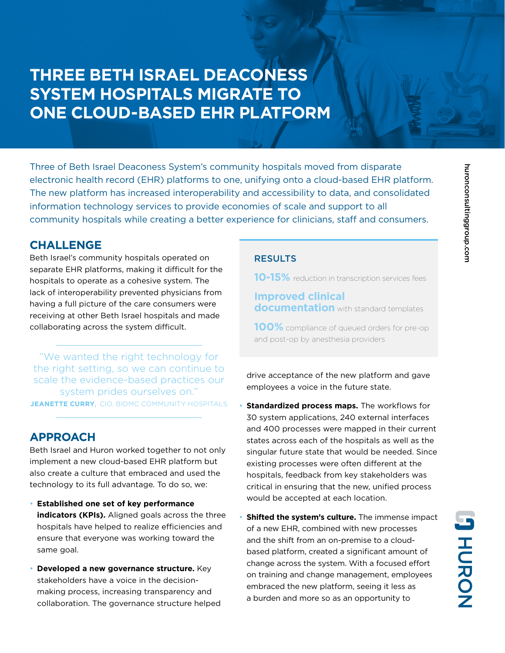## **THREE BETH ISRAEL DEACONESS SYSTEM HOSPITALS MIGRATE TO ONE CLOUD-BASED EHR PLATFORM**

Three of Beth Israel Deaconess System's community hospitals moved from disparate electronic health record (EHR) platforms to one, unifying onto a cloud-based EHR platform. The new platform has increased interoperability and accessibility to data, and consolidated information technology services to provide economies of scale and support to all community hospitals while creating a better experience for clinicians, staff and consumers.

### **CHALLENGE**

Beth Israel's community hospitals operated on separate EHR platforms, making it difficult for the hospitals to operate as a cohesive system. The lack of interoperability prevented physicians from having a full picture of the care consumers were receiving at other Beth Israel hospitals and made collaborating across the system difficult.

"We wanted the right technology for the right setting, so we can continue to scale the evidence-based practices our system prides ourselves on." **JEANETTE CURRY**, CIO, BIDMC COMMUNITY HOSPITALS

## **APPROACH**

Beth Israel and Huron worked together to not only implement a new cloud-based EHR platform but also create a culture that embraced and used the technology to its full advantage. To do so, we:

- **Established one set of key performance indicators (KPIs).** Aligned goals across the three hospitals have helped to realize efficiencies and ensure that everyone was working toward the same goal.
- **Developed a new governance structure.** Key stakeholders have a voice in the decisionmaking process, increasing transparency and collaboration. The governance structure helped

#### RESULTS

**10-15%** reduction in transcription services fees

### **Improved clinical documentation** with standard templates

**100%** compliance of queued orders for pre-op and post-op by anesthesia providers

drive acceptance of the new platform and gave employees a voice in the future state.

- **Standardized process maps.** The workflows for 30 system applications, 240 external interfaces and 400 processes were mapped in their current states across each of the hospitals as well as the singular future state that would be needed. Since existing processes were often different at the hospitals, feedback from key stakeholders was critical in ensuring that the new, unified process would be accepted at each location.
- **Shifted the system's culture.** The immense impact of a new EHR, combined with new processes and the shift from an on-premise to a cloudbased platform, created a significant amount of change across the system. With a focused effort on training and change management, employees embraced the new platform, seeing it less as a burden and more so as an opportunity to

**PHORON**